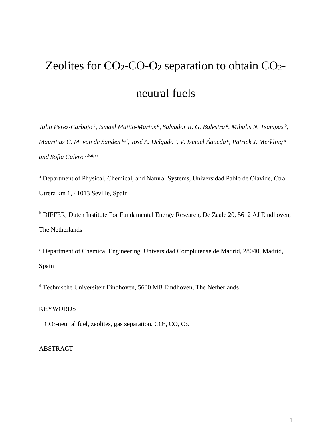# Zeolites for  $CO<sub>2</sub>-CO-O<sub>2</sub>$  separation to obtain  $CO<sub>2</sub>$ neutral fuels

*Julio Perez-Carbajo a, Ismael Matito-Martos a, Salvador R. G. Balestra <sup>a</sup> , Mihalis N. Tsampas b, Mauritius C. M. van de Sanden b,d, José A. Delgado <sup>c</sup> , V. Ismael Águeda <sup>c</sup> , Patrick J. Merkling <sup>a</sup> and Sofia Calero a,b,d,\**

<sup>a</sup> Department of Physical, Chemical, and Natural Systems, Universidad Pablo de Olavide, Ctra. Utrera km 1, 41013 Seville, Spain

<sup>b</sup> DIFFER, Dutch Institute For Fundamental Energy Research, De Zaale 20, 5612 AJ Eindhoven, The Netherlands

<sup>c</sup> Department of Chemical Engineering, Universidad Complutense de Madrid, 28040, Madrid, Spain

<sup>d</sup> Technische Universiteit Eindhoven, 5600 MB Eindhoven, The Netherlands

## KEYWORDS

 $CO<sub>2</sub>$ -neutral fuel, zeolites, gas separation,  $CO<sub>2</sub>$ ,  $CO$ ,  $O<sub>2</sub>$ .

# ABSTRACT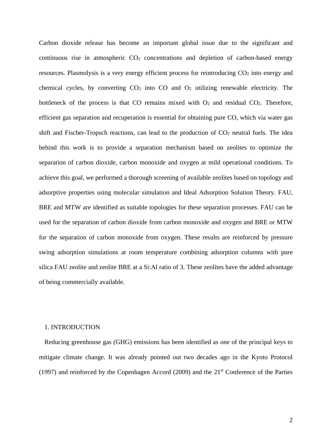Carbon dioxide release has become an important global issue due to the significant and continuous rise in atmospheric CO2 concentrations and depletion of carbon-based energy resources. Plasmolysis is a very energy efficient process for reintroducing CO2 into energy and chemical cycles, by converting  $CO<sub>2</sub>$  into  $CO$  and  $O<sub>2</sub>$  utilizing renewable electricity. The bottleneck of the process is that CO remains mixed with  $O_2$  and residual CO<sub>2</sub>. Therefore, efficient gas separation and recuperation is essential for obtaining pure CO, which via water gas shift and Fischer-Tropsch reactions, can lead to the production of  $CO<sub>2</sub>$  neutral fuels. The idea behind this work is to provide a separation mechanism based on zeolites to optimize the separation of carbon dioxide, carbon monoxide and oxygen at mild operational conditions. To achieve this goal, we performed a thorough screening of available zeolites based on topology and adsorptive properties using molecular simulation and Ideal Adsorption Solution Theory. FAU, BRE and MTW are identified as suitable topologies for these separation processes. FAU can be used for the separation of carbon dioxide from carbon monoxide and oxygen and BRE or MTW for the separation of carbon monoxide from oxygen. These results are reinforced by pressure swing adsorption simulations at room temperature combining adsorption columns with pure silica FAU zeolite and zeolite BRE at a Si:Al ratio of 3. These zeolites have the added advantage of being commercially available.

## 1. INTRODUCTION

Reducing greenhouse gas (GHG) emissions has been identified as one of the principal keys to mitigate climate change. It was already pointed out two decades ago in the Kyoto Protocol (1997) and reinforced by the Copenhagen Accord (2009) and the  $21<sup>st</sup>$  Conference of the Parties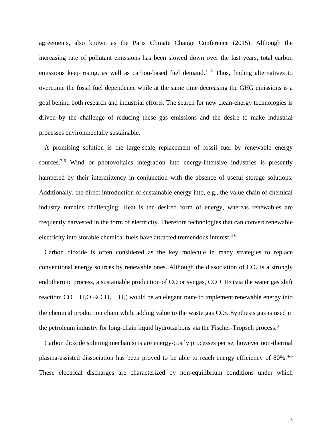agreements, also known as the Paris Climate Change Conference (2015). Although the increasing rate of pollutant emissions has been slowed down over the last years, total carbon emissions keep rising, as well as carbon-based fuel demand.<sup>[1,](#page-22-0) [2](#page-22-1)</sup> Thus, finding alternatives to overcome the fossil fuel dependence while at the same time decreasing the GHG emissions is a goal behind both research and industrial efforts. The search for new clean-energy technologies is driven by the challenge of reducing these gas emissions and the desire to make industrial processes environmentally sustainable.

A promising solution is the large-scale replacement of fossil fuel by renewable energy sources.<sup>3-6</sup> Wind or photovoltaics integration into energy-intensive industries is presently hampered by their intermittency in conjunction with the absence of useful storage solutions. Additionally, the direct introduction of sustainable energy into, e.g., the value chain of chemical industry remains challenging: Heat is the desired form of energy, whereas renewables are frequently harvested in the form of electricity. Therefore technologies that can convert renewable electricity into storable chemical fuels have attracted tremendous interest.<sup>3-6</sup>

Carbon dioxide is often considered as the key molecule in many strategies to replace conventional energy sources by renewable ones. Although the dissociation of  $CO<sub>2</sub>$  is a strongly endothermic process, a sustainable production of CO or syngas,  $CO + H<sub>2</sub>$  (via the water gas shift reaction:  $CO + H_2O \rightarrow CO_2 + H_2$ ) would be an elegant route to implement renewable energy into the chemical production chain while adding value to the waste gas CO2. Synthesis gas is used in the petroleum industry for long-chain liquid hydrocarbons via the Fischer-Tropsch process.<sup>[3](#page-22-2)</sup>

Carbon dioxide splitting mechanisms are energy-costly processes per se, however non-thermal plasma-assisted dissociation has been proved to be able to reach energy efficiency of 80%.<sup>4-6</sup> These electrical discharges are characterized by non-equilibrium conditions under which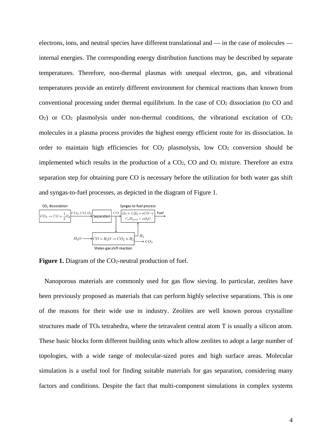electrons, ions, and neutral species have different translational and — in the case of molecules internal energies. The corresponding energy distribution functions may be described by separate temperatures. Therefore, non-thermal plasmas with unequal electron, gas, and vibrational temperatures provide an entirely different environment for chemical reactions than known from conventional processing under thermal equilibrium. In the case of  $CO<sub>2</sub>$  dissociation (to  $CO$  and  $O_2$ ) or  $CO_2$  plasmolysis under non-thermal conditions, the vibrational excitation of  $CO_2$ molecules in a plasma process provides the highest energy efficient route for its dissociation. In order to maintain high efficiencies for  $CO<sub>2</sub>$  plasmolysis, low  $CO<sub>2</sub>$  conversion should be implemented which results in the production of a  $CO<sub>2</sub>$ ,  $CO$  and  $O<sub>2</sub>$  mixture. Therefore an extra separation step for obtaining pure CO is necessary before the utilization for both water gas shift and syngas-to-fuel processes, as depicted in the diagram of Figure 1.



Figure 1. Diagram of the CO<sub>2</sub>-neutral production of fuel.

Nanoporous materials are commonly used for gas flow sieving. In particular, zeolites have been previously proposed as materials that can perform highly selective separations. This is one of the reasons for their wide use in industry. Zeolites are well known porous crystalline structures made of TO4 tetrahedra, where the tetravalent central atom T is usually a silicon atom. These basic blocks form different building units which allow zeolites to adopt a large number of topologies, with a wide range of molecular-sized pores and high surface areas. Molecular simulation is a useful tool for finding suitable materials for gas separation, considering many factors and conditions. Despite the fact that multi-component simulations in complex systems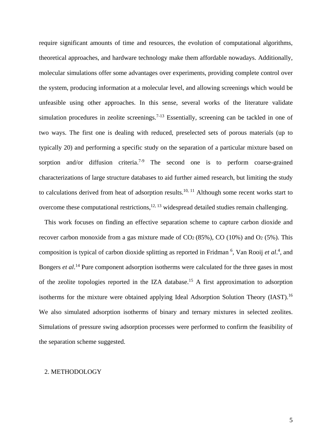require significant amounts of time and resources, the evolution of computational algorithms, theoretical approaches, and hardware technology make them affordable nowadays. Additionally, molecular simulations offer some advantages over experiments, providing complete control over the system, producing information at a molecular level, and allowing screenings which would be unfeasible using other approaches. In this sense, several works of the literature validate simulation procedures in zeolite screenings.<sup>[7-13](#page-22-4)</sup> Essentially, screening can be tackled in one of two ways. The first one is dealing with reduced, preselected sets of porous materials (up to typically 20) and performing a specific study on the separation of a particular mixture based on sorption and/or diffusion criteria.<sup>7-9</sup> The second one is to perform coarse-grained characterizations of large structure databases to aid further aimed research, but limiting the study to calculations derived from heat of adsorption results.<sup>10, [11](#page-22-6)</sup> Although some recent works start to overcome these computational restrictions, $12, 13$  $12, 13$  widespread detailed studies remain challenging.

This work focuses on finding an effective separation scheme to capture carbon dioxide and recover carbon monoxide from a gas mixture made of  $CO<sub>2</sub> (85%)$ ,  $CO (10%)$  and  $O<sub>2</sub> (5%)$ . This composition is typical of carbon dioxide splitting as reported in Fridman<sup>[6](#page-22-7)</sup>, Van Rooij et al.<sup>[4](#page-22-3)</sup>, and Bongers *et al.*<sup>[14](#page-23-2)</sup> Pure component adsorption isotherms were calculated for the three gases in most of the zeolite topologies reported in the IZA database[.15](#page-23-3) A first approximation to adsorption isotherms for the mixture were obtained applying Ideal Adsorption Solution Theory (IAST).<sup>16</sup> We also simulated adsorption isotherms of binary and ternary mixtures in selected zeolites. Simulations of pressure swing adsorption processes were performed to confirm the feasibility of the separation scheme suggested.

#### 2. METHODOLOGY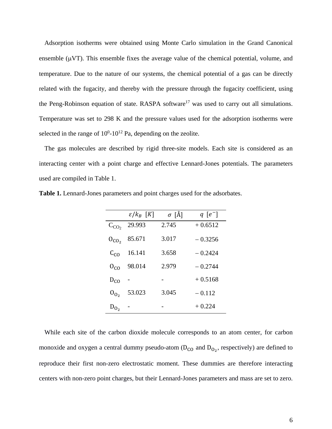Adsorption isotherms were obtained using Monte Carlo simulation in the Grand Canonical ensemble  $(\mu VT)$ . This ensemble fixes the average value of the chemical potential, volume, and temperature. Due to the nature of our systems, the chemical potential of a gas can be directly related with the fugacity, and thereby with the pressure through the fugacity coefficient, using the Peng-Robinson equation of state. RASPA software<sup>[17](#page-23-5)</sup> was used to carry out all simulations. Temperature was set to 298 K and the pressure values used for the adsorption isotherms were selected in the range of  $10^{0}$ - $10^{12}$  Pa, depending on the zeolite.

The gas molecules are described by rigid three-site models. Each site is considered as an interacting center with a point charge and effective Lennard-Jones potentials. The parameters used are compiled in Table 1.

|           | $\varepsilon/k_B$ [K] | $\sigma$ [Å] | $q[e^-]$  |
|-----------|-----------------------|--------------|-----------|
| $C_{CO2}$ | 29.993                | 2.745        | $+0.6512$ |
| $0_{CO2}$ | 85.671                | 3.017        | $-0.3256$ |
| $C_{CO}$  | 16.141                | 3.658        | $-0.2424$ |
| $0_{CQ}$  | 98.014                | 2.979        | $-0.2744$ |
| $D_{CO}$  |                       |              | $+0.5168$ |
| $0_{0_2}$ | 53.023                | 3.045        | $-0.112$  |
| $D_{0_2}$ |                       |              | $+0.224$  |

**Table 1.** Lennard-Jones parameters and point charges used for the adsorbates.

While each site of the carbon dioxide molecule corresponds to an atom center, for carbon monoxide and oxygen a central dummy pseudo-atom  $(D_{CO}$  and  $D_{O_2}$ , respectively) are defined to reproduce their first non-zero electrostatic moment. These dummies are therefore interacting centers with non-zero point charges, but their Lennard-Jones parameters and mass are set to zero.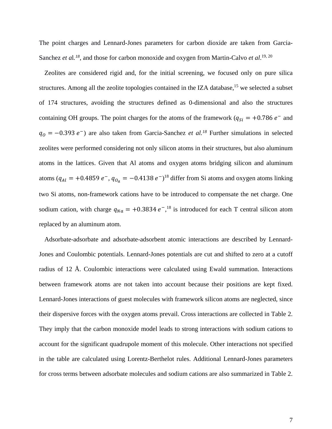The point charges and Lennard-Jones parameters for carbon dioxide are taken from Garcia-Sanchez *et al.*<sup>[18](#page-23-6)</sup>, and those for carbon monoxide and oxygen from Martin-Calvo *et al.*<sup>[19,](#page-23-7) [20](#page-23-8)</sup>

Zeolites are considered rigid and, for the initial screening, we focused only on pure silica structures. Among all the zeolite topologies contained in the IZA database,<sup>15</sup> we selected a subset of 174 structures, avoiding the structures defined as 0-dimensional and also the structures containing OH groups. The point charges for the atoms of the framework ( $q_{Si} = +0.786 e^{-}$  and  $q_0 = -0.393 e^{-}$ ) are also taken from Garcia-Sanchez *et al.<sup>18</sup>* Further simulations in selected zeolites were performed considering not only silicon atoms in their structures, but also aluminum atoms in the lattices. Given that Al atoms and oxygen atoms bridging silicon and aluminum atoms ( $q_{Al} = +0.4859 e^{-}$ ,  $q_{O_a} = -0.4138 e^{-}$ )<sup>[18](#page-23-6)</sup> differ from Si atoms and oxygen atoms linking two Si atoms, non-framework cations have to be introduced to compensate the net charge. One sodium cation, with charge  $q_{Na} = +0.3834 e^{-1.8}$ , is introduced for each T central silicon atom replaced by an aluminum atom.

Adsorbate-adsorbate and adsorbate-adsorbent atomic interactions are described by Lennard-Jones and Coulombic potentials. Lennard-Jones potentials are cut and shifted to zero at a cutoff radius of 12 Å. Coulombic interactions were calculated using Ewald summation. Interactions between framework atoms are not taken into account because their positions are kept fixed. Lennard-Jones interactions of guest molecules with framework silicon atoms are neglected, since their dispersive forces with the oxygen atoms prevail. Cross interactions are collected in Table 2. They imply that the carbon monoxide model leads to strong interactions with sodium cations to account for the significant quadrupole moment of this molecule. Other interactions not specified in the table are calculated using Lorentz-Berthelot rules. Additional Lennard-Jones parameters for cross terms between adsorbate molecules and sodium cations are also summarized in Table 2.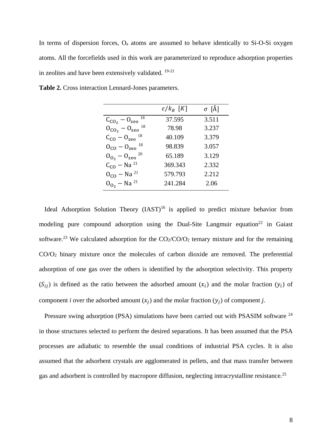In terms of dispersion forces, Oa atoms are assumed to behave identically to Si-O-Si oxygen atoms. All the forcefields used in this work are parameterized to reproduce adsorption properties in zeolites and have been extensively validated. [19-21](#page-23-7)

|                                    | $\varepsilon/k_B$ [K] | $\sigma$ [Å] |
|------------------------------------|-----------------------|--------------|
| 18<br>$C_{CO_2} - O_{ze0}$         | 37.595                | 3.511        |
| $0_{CO_2} - 0_{ze0}$ <sup>18</sup> | 78.98                 | 3.237        |
| $C_{CO} - O_{ze0}$ <sup>18</sup>   | 40.109                | 3.379        |
| $0_{CQ} - 0_{ze0}$ <sup>18</sup>   | 98.839                | 3.057        |
| $0_{0}$ , $-0_{ze0}$ 20            | 65.189                | 3.129        |
| $C_{CO}$ – Na <sup>21</sup>        | 369.343               | 2.332        |
| $0_{CQ}$ – Na <sup>21</sup>        | 579.793               | 2.212        |
| $0_{0_2}$ – Na <sup>21</sup>       | 241.284               | 2.06         |

**Table 2.** Cross interaction Lennard-Jones parameters.

Ideal Adsorption Solution Theory  $(IAST)^{16}$  $(IAST)^{16}$  $(IAST)^{16}$  is applied to predict mixture behavior from modeling pure compound adsorption using the Dual-Site Langmuir equation<sup>22</sup> in Gaiast software.<sup>[23](#page-23-11)</sup> We calculated adsorption for the  $CO_2/CO/O_2$  ternary mixture and for the remaining CO/O2 binary mixture once the molecules of carbon dioxide are removed. The preferential adsorption of one gas over the others is identified by the adsorption selectivity. This property  $(S_{ij})$  is defined as the ratio between the adsorbed amount  $(x_i)$  and the molar fraction  $(y_i)$  of component *i* over the adsorbed amount  $(x_j)$  and the molar fraction  $(y_j)$  of component *j*.

Pressure swing adsorption (PSA) simulations have been carried out with PSASIM software <sup>[24](#page-23-12)</sup> in those structures selected to perform the desired separations. It has been assumed that the PSA processes are adiabatic to resemble the usual conditions of industrial PSA cycles. It is also assumed that the adsorbent crystals are agglomerated in pellets, and that mass transfer between gas and adsorbent is controlled by macropore diffusion, neglecting intracrystalline resistance.<sup>25</sup>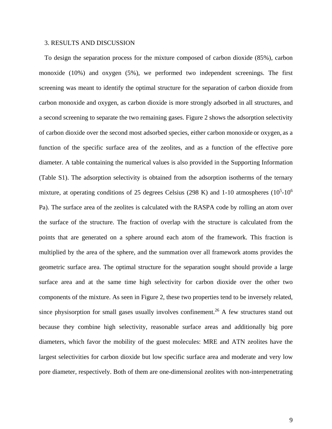#### 3. RESULTS AND DISCUSSION

To design the separation process for the mixture composed of carbon dioxide (85%), carbon monoxide (10%) and oxygen (5%), we performed two independent screenings. The first screening was meant to identify the optimal structure for the separation of carbon dioxide from carbon monoxide and oxygen, as carbon dioxide is more strongly adsorbed in all structures, and a second screening to separate the two remaining gases. Figure 2 shows the adsorption selectivity of carbon dioxide over the second most adsorbed species, either carbon monoxide or oxygen, as a function of the specific surface area of the zeolites, and as a function of the effective pore diameter. A table containing the numerical values is also provided in the Supporting Information (Table S1). The adsorption selectivity is obtained from the adsorption isotherms of the ternary mixture, at operating conditions of 25 degrees Celsius (298 K) and 1-10 atmospheres ( $10<sup>5</sup>$ -10<sup>6</sup>) Pa). The surface area of the zeolites is calculated with the RASPA code by rolling an atom over the surface of the structure. The fraction of overlap with the structure is calculated from the points that are generated on a sphere around each atom of the framework. This fraction is multiplied by the area of the sphere, and the summation over all framework atoms provides the geometric surface area. The optimal structure for the separation sought should provide a large surface area and at the same time high selectivity for carbon dioxide over the other two components of the mixture. As seen in Figure 2, these two properties tend to be inversely related, since physisorption for small gases usually involves confinement.<sup>26</sup> A few structures stand out because they combine high selectivity, reasonable surface areas and additionally big pore diameters, which favor the mobility of the guest molecules: MRE and ATN zeolites have the largest selectivities for carbon dioxide but low specific surface area and moderate and very low pore diameter, respectively. Both of them are one-dimensional zeolites with non-interpenetrating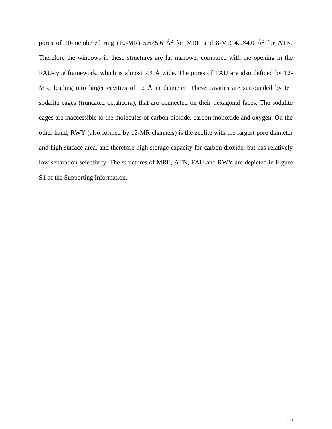pores of 10-membered ring (10-MR) 5.6×5.6  $\AA$ <sup>2</sup> for MRE and 8-MR 4.0×4.0  $\AA$ <sup>2</sup> for ATN. Therefore the windows in these structures are far narrower compared with the opening in the FAU-type framework, which is almost 7.4 Å wide. The pores of FAU are also defined by 12- MR, leading into larger cavities of 12  $\AA$  in diameter. These cavities are surrounded by ten sodalite cages (truncated octahedra), that are connected on their hexagonal faces. The sodalite cages are inaccessible to the molecules of carbon dioxide, carbon monoxide and oxygen. On the other hand, RWY (also formed by 12-MR channels) is the zeolite with the largest pore diameter and high surface area, and therefore high storage capacity for carbon dioxide, but has relatively low separation selectivity. The structures of MRE, ATN, FAU and RWY are depicted in Figure S1 of the Supporting Information.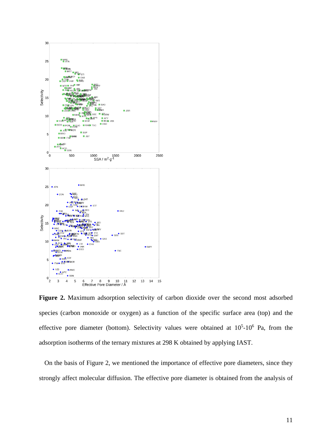

**Figure 2.** Maximum adsorption selectivity of carbon dioxide over the second most adsorbed species (carbon monoxide or oxygen) as a function of the specific surface area (top) and the effective pore diameter (bottom). Selectivity values were obtained at  $10<sup>5</sup>$ -10<sup>6</sup> Pa, from the adsorption isotherms of the ternary mixtures at 298 K obtained by applying IAST.

On the basis of Figure 2, we mentioned the importance of effective pore diameters, since they strongly affect molecular diffusion. The effective pore diameter is obtained from the analysis of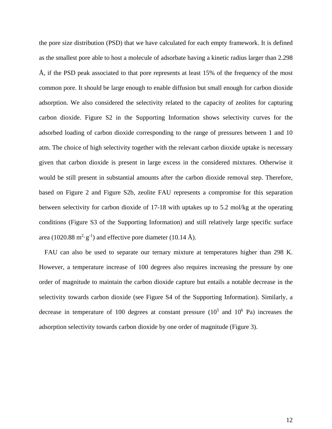the pore size distribution (PSD) that we have calculated for each empty framework. It is defined as the smallest pore able to host a molecule of adsorbate having a kinetic radius larger than 2.298 Å, if the PSD peak associated to that pore represents at least 15% of the frequency of the most common pore. It should be large enough to enable diffusion but small enough for carbon dioxide adsorption. We also considered the selectivity related to the capacity of zeolites for capturing carbon dioxide. Figure S2 in the Supporting Information shows selectivity curves for the adsorbed loading of carbon dioxide corresponding to the range of pressures between 1 and 10 atm. The choice of high selectivity together with the relevant carbon dioxide uptake is necessary given that carbon dioxide is present in large excess in the considered mixtures. Otherwise it would be still present in substantial amounts after the carbon dioxide removal step. Therefore, based on Figure 2 and Figure S2b, zeolite FAU represents a compromise for this separation between selectivity for carbon dioxide of 17-18 with uptakes up to 5.2 mol/kg at the operating conditions (Figure S3 of the Supporting Information) and still relatively large specific surface area (1020.88 m<sup>2</sup>·g<sup>-1</sup>) and effective pore diameter (10.14 Å).

FAU can also be used to separate our ternary mixture at temperatures higher than 298 K. However, a temperature increase of 100 degrees also requires increasing the pressure by one order of magnitude to maintain the carbon dioxide capture but entails a notable decrease in the selectivity towards carbon dioxide (see Figure S4 of the Supporting Information). Similarly, a decrease in temperature of 100 degrees at constant pressure  $(10^5 \text{ and } 10^6 \text{ Pa})$  increases the adsorption selectivity towards carbon dioxide by one order of magnitude (Figure 3).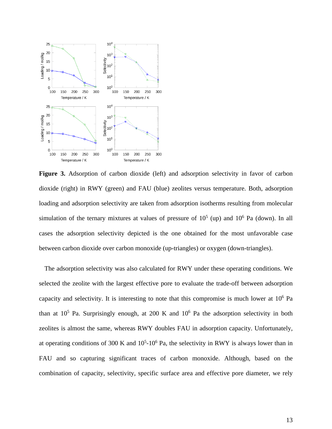

Figure 3. Adsorption of carbon dioxide (left) and adsorption selectivity in favor of carbon dioxide (right) in RWY (green) and FAU (blue) zeolites versus temperature. Both, adsorption loading and adsorption selectivity are taken from adsorption isotherms resulting from molecular simulation of the ternary mixtures at values of pressure of  $10^5$  (up) and  $10^6$  Pa (down). In all cases the adsorption selectivity depicted is the one obtained for the most unfavorable case between carbon dioxide over carbon monoxide (up-triangles) or oxygen (down-triangles).

The adsorption selectivity was also calculated for RWY under these operating conditions. We selected the zeolite with the largest effective pore to evaluate the trade-off between adsorption capacity and selectivity. It is interesting to note that this compromise is much lower at  $10<sup>6</sup>$  Pa than at  $10^5$  Pa. Surprisingly enough, at 200 K and  $10^6$  Pa the adsorption selectivity in both zeolites is almost the same, whereas RWY doubles FAU in adsorption capacity. Unfortunately, at operating conditions of 300 K and  $10<sup>5</sup>$ -10<sup>6</sup> Pa, the selectivity in RWY is always lower than in FAU and so capturing significant traces of carbon monoxide. Although, based on the combination of capacity, selectivity, specific surface area and effective pore diameter, we rely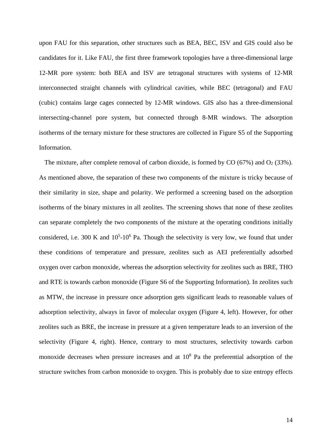upon FAU for this separation, other structures such as BEA, BEC, ISV and GIS could also be candidates for it. Like FAU, the first three framework topologies have a three-dimensional large 12-MR pore system: both BEA and ISV are tetragonal structures with systems of 12-MR interconnected straight channels with cylindrical cavities, while BEC (tetragonal) and FAU (cubic) contains large cages connected by 12-MR windows. GIS also has a three-dimensional intersecting-channel pore system, but connected through 8-MR windows. The adsorption isotherms of the ternary mixture for these structures are collected in Figure S5 of the Supporting Information.

The mixture, after complete removal of carbon dioxide, is formed by  $CO$  (67%) and  $O<sub>2</sub>$  (33%). As mentioned above, the separation of these two components of the mixture is tricky because of their similarity in size, shape and polarity. We performed a screening based on the adsorption isotherms of the binary mixtures in all zeolites. The screening shows that none of these zeolites can separate completely the two components of the mixture at the operating conditions initially considered, i.e. 300 K and  $10<sup>5</sup>$ -10<sup>6</sup> Pa. Though the selectivity is very low, we found that under these conditions of temperature and pressure, zeolites such as AEI preferentially adsorbed oxygen over carbon monoxide, whereas the adsorption selectivity for zeolites such as BRE, THO and RTE is towards carbon monoxide (Figure S6 of the Supporting Information). In zeolites such as MTW, the increase in pressure once adsorption gets significant leads to reasonable values of adsorption selectivity, always in favor of molecular oxygen (Figure 4, left). However, for other zeolites such as BRE, the increase in pressure at a given temperature leads to an inversion of the selectivity (Figure 4, right). Hence, contrary to most structures, selectivity towards carbon monoxide decreases when pressure increases and at  $10<sup>8</sup>$  Pa the preferential adsorption of the structure switches from carbon monoxide to oxygen. This is probably due to size entropy effects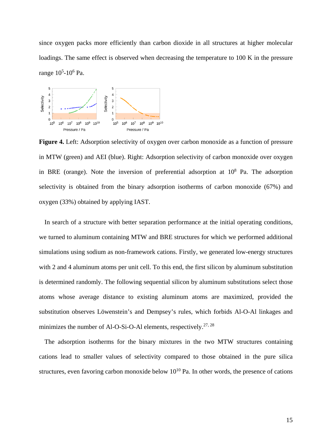since oxygen packs more efficiently than carbon dioxide in all structures at higher molecular loadings. The same effect is observed when decreasing the temperature to 100 K in the pressure range 10<sup>5</sup>-10<sup>6</sup> Pa.



**Figure 4.** Left: Adsorption selectivity of oxygen over carbon monoxide as a function of pressure in MTW (green) and AEI (blue). Right: Adsorption selectivity of carbon monoxide over oxygen in BRE (orange). Note the inversion of preferential adsorption at  $10^8$  Pa. The adsorption selectivity is obtained from the binary adsorption isotherms of carbon monoxide (67%) and oxygen (33%) obtained by applying IAST.

In search of a structure with better separation performance at the initial operating conditions, we turned to aluminum containing MTW and BRE structures for which we performed additional simulations using sodium as non-framework cations. Firstly, we generated low-energy structures with 2 and 4 aluminum atoms per unit cell. To this end, the first silicon by aluminum substitution is determined randomly. The following sequential silicon by aluminum substitutions select those atoms whose average distance to existing aluminum atoms are maximized, provided the substitution observes Löwenstein's and Dempsey's rules, which forbids Al-O-Al linkages and minimizes the number of Al-O-Si-O-Al elements, respectively.<sup>[27,](#page-23-15) [28](#page-23-16)</sup>

The adsorption isotherms for the binary mixtures in the two MTW structures containing cations lead to smaller values of selectivity compared to those obtained in the pure silica structures, even favoring carbon monoxide below  $10^{10}$  Pa. In other words, the presence of cations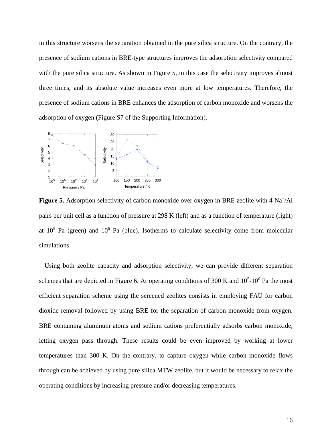in this structure worsens the separation obtained in the pure silica structure. On the contrary, the presence of sodium cations in BRE-type structures improves the adsorption selectivity compared with the pure silica structure. As shown in Figure 5, in this case the selectivity improves almost three times, and its absolute value increases even more at low temperatures. Therefore, the presence of sodium cations in BRE enhances the adsorption of carbon monoxide and worsens the adsorption of oxygen (Figure S7 of the Supporting Information).



Figure 5. Adsorption selectivity of carbon monoxide over oxygen in BRE zeolite with 4 Na<sup>+</sup>/Al pairs per unit cell as a function of pressure at 298 K (left) and as a function of temperature (right) at  $10^5$  Pa (green) and  $10^6$  Pa (blue). Isotherms to calculate selectivity come from molecular simulations.

Using both zeolite capacity and adsorption selectivity, we can provide different separation schemes that are depicted in Figure 6. At operating conditions of 300 K and  $10<sup>5</sup>$ -10<sup>6</sup> Pa the most efficient separation scheme using the screened zeolites consists in employing FAU for carbon dioxide removal followed by using BRE for the separation of carbon monoxide from oxygen. BRE containing aluminum atoms and sodium cations preferentially adsorbs carbon monoxide, letting oxygen pass through. These results could be even improved by working at lower temperatures than 300 K. On the contrary, to capture oxygen while carbon monoxide flows through can be achieved by using pure silica MTW zeolite, but it would be necessary to relax the operating conditions by increasing pressure and/or decreasing temperatures.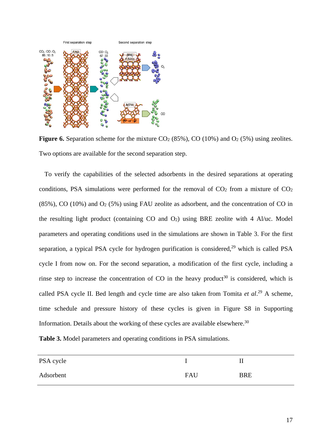

**Figure 6.** Separation scheme for the mixture  $CO<sub>2</sub>$  (85%),  $CO$  (10%) and  $O<sub>2</sub>$  (5%) using zeolites. Two options are available for the second separation step.

To verify the capabilities of the selected adsorbents in the desired separations at operating conditions, PSA simulations were performed for the removal of  $CO<sub>2</sub>$  from a mixture of  $CO<sub>2</sub>$ (85%), CO (10%) and O2 (5%) using FAU zeolite as adsorbent, and the concentration of CO in the resulting light product (containing  $CO$  and  $O<sub>2</sub>$ ) using BRE zeolite with 4 Al/uc. Model parameters and operating conditions used in the simulations are shown in Table 3. For the first separation, a typical PSA cycle for hydrogen purification is considered, $29$  which is called PSA cycle I from now on. For the second separation, a modification of the first cycle, including a rinse step to increase the concentration of CO in the heavy product<sup>[30](#page-24-0)</sup> is considered, which is called PSA cycle II. Bed length and cycle time are also taken from Tomita et al.<sup>[29](#page-23-17)</sup> A scheme, time schedule and pressure history of these cycles is given in Figure S8 in Supporting Information. Details about the working of these cycles are available elsewhere. $30$ 

**Table 3.** Model parameters and operating conditions in PSA simulations.

| PSA cycle |     | П          |
|-----------|-----|------------|
| Adsorbent | FAU | <b>BRE</b> |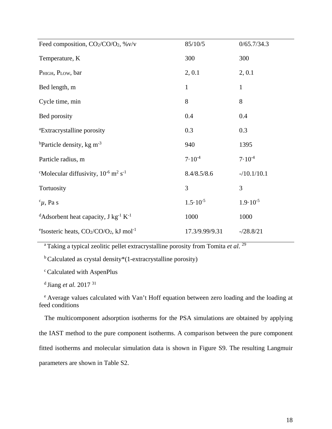| Feed composition, CO2/CO/O2, %v/v                                        | 85/10/5             | 0/65.7/34.3         |
|--------------------------------------------------------------------------|---------------------|---------------------|
| Temperature, K                                                           | 300                 | 300                 |
| PHIGH, PLOW, bar                                                         | 2, 0.1              | 2, 0.1              |
| Bed length, m                                                            | $\mathbf{1}$        | $\mathbf{1}$        |
| Cycle time, min                                                          | 8                   | 8                   |
| Bed porosity                                                             | 0.4                 | 0.4                 |
| <sup>a</sup> Extracrystalline porosity                                   | 0.3                 | 0.3                 |
| <sup>b</sup> Particle density, kg m <sup>-3</sup>                        | 940                 | 1395                |
| Particle radius, m                                                       | $7.10^{-4}$         | $7.10^{-4}$         |
| "Molecular diffusivity, $10^{-6}$ m <sup>2</sup> s <sup>-1</sup>         | 8.4/8.5/8.6         | $-10.1/10.1$        |
| Tortuosity                                                               | 3                   | 3                   |
| $\alpha$ , Pa s                                                          | $1.5 \cdot 10^{-5}$ | $1.9 \cdot 10^{-5}$ |
| <sup>d</sup> Adsorbent heat capacity, J kg <sup>-1</sup> K <sup>-1</sup> | 1000                | 1000                |
| <sup>e</sup> Isosteric heats, $CO2/CO/O2$ , kJ mol <sup>-1</sup>         | 17.3/9.99/9.31      | $- / 28.8 / 21$     |

a Taking a typical zeolitic pellet extracrystalline porosity from Tomita *et al*. [29](#page-23-17)

b Calculated as crystal density\*(1-extracrystalline porosity)

c Calculated with AspenPlus

d Jiang *et al.* 2017 [31](#page-24-1)

e Average values calculated with Van't Hoff equation between zero loading and the loading at feed conditions

The multicomponent adsorption isotherms for the PSA simulations are obtained by applying the IAST method to the pure component isotherms. A comparison between the pure component fitted isotherms and molecular simulation data is shown in Figure S9. The resulting Langmuir parameters are shown in Table S2.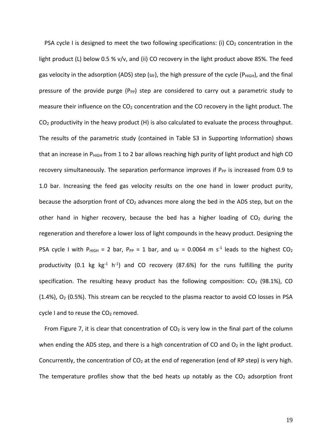PSA cycle I is designed to meet the two following specifications: (i)  $CO<sub>2</sub>$  concentration in the light product (L) below 0.5 % v/v, and (ii) CO recovery in the light product above 85%. The feed gas velocity in the adsorption (ADS) step (u<sub>F</sub>), the high pressure of the cycle (P<sub>HIGH</sub>), and the final pressure of the provide purge ( $P_{PP}$ ) step are considered to carry out a parametric study to measure their influence on the  $CO<sub>2</sub>$  concentration and the CO recovery in the light product. The  $CO<sub>2</sub>$  productivity in the heavy product (H) is also calculated to evaluate the process throughput. The results of the parametric study (contained in Table S3 in Supporting Information) shows that an increase in  $P_{HIGH}$  from 1 to 2 bar allows reaching high purity of light product and high CO recovery simultaneously. The separation performance improves if  $P_{PP}$  is increased from 0.9 to 1.0 bar. Increasing the feed gas velocity results on the one hand in lower product purity, because the adsorption front of CO<sub>2</sub> advances more along the bed in the ADS step, but on the other hand in higher recovery, because the bed has a higher loading of  $CO<sub>2</sub>$  during the regeneration and therefore a lower loss of light compounds in the heavy product. Designing the PSA cycle I with P<sub>HIGH</sub> = 2 bar, P<sub>PP</sub> = 1 bar, and  $u_F = 0.0064$  m s<sup>-1</sup> leads to the highest CO<sub>2</sub> productivity (0.1 kg  $kg^{-1}$  h<sup>-1</sup>) and CO recovery (87.6%) for the runs fulfilling the purity specification. The resulting heavy product has the following composition:  $CO<sub>2</sub>$  (98.1%), CO  $(1.4%)$ ,  $O<sub>2</sub>$  (0.5%). This stream can be recycled to the plasma reactor to avoid CO losses in PSA cycle I and to reuse the CO<sub>2</sub> removed.

From Figure 7, it is clear that concentration of  $CO<sub>2</sub>$  is very low in the final part of the column when ending the ADS step, and there is a high concentration of CO and  $O<sub>2</sub>$  in the light product. Concurrently, the concentration of  $CO<sub>2</sub>$  at the end of regeneration (end of RP step) is very high. The temperature profiles show that the bed heats up notably as the  $CO<sub>2</sub>$  adsorption front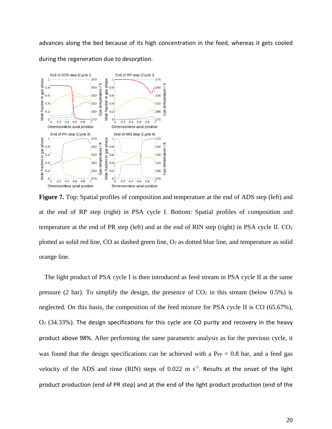advances along the bed because of its high concentration in the feed, whereas it gets cooled during the regeneration due to desorption.



**Figure 7.** Top: Spatial profiles of composition and temperature at the end of ADS step (left) and at the end of RP step (right) in PSA cycle I. Bottom: Spatial profiles of composition and temperature at the end of PR step (left) and at the end of RIN step (right) in PSA cycle II.  $CO<sub>2</sub>$ plotted as solid red line, CO as dashed green line, O2 as dotted blue line, and temperature as solid orange line.

The light product of PSA cycle I is then introduced as feed stream in PSA cycle II at the same pressure (2 bar). To simplify the design, the presence of  $CO<sub>2</sub>$  in this stream (below 0.5%) is neglected. On this basis, the composition of the feed mixture for PSA cycle II is CO (65.67%),  $O<sub>2</sub>$  (34.33%). The design specifications for this cycle are CO purity and recovery in the heavy product above 98%. After performing the same parametric analysis as for the previous cycle, it was found that the design specifications can be achieved with a  $P_{PP} = 0.8$  bar, and a feed gas velocity of the ADS and rinse (RIN) steps of  $0.022 \text{ m s}^{-1}$ . Results at the onset of the light product production (end of PR step) and at the end of the light product production (end of the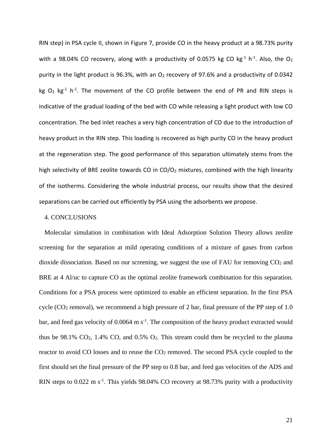RIN step) in PSA cycle II, shown in Figure 7, provide CO in the heavy product at a 98.73% purity with a 98.04% CO recovery, along with a productivity of 0.0575 kg CO kg<sup>-1</sup> h<sup>-1</sup>. Also, the O<sub>2</sub> purity in the light product is 96.3%, with an  $O_2$  recovery of 97.6% and a productivity of 0.0342 kg  $O_2$  kg<sup>-1</sup> h<sup>-1</sup>. The movement of the CO profile between the end of PR and RIN steps is indicative of the gradual loading of the bed with CO while releasing a light product with low CO concentration. The bed inlet reaches a very high concentration of CO due to the introduction of heavy product in the RIN step. This loading is recovered as high purity CO in the heavy product at the regeneration step. The good performance of this separation ultimately stems from the high selectivity of BRE zeolite towards CO in  $CO/O<sub>2</sub>$  mixtures, combined with the high linearity of the isotherms. Considering the whole industrial process, our results show that the desired separations can be carried out efficiently by PSA using the adsorbents we propose.

## 4. CONCLUSIONS

Molecular simulation in combination with Ideal Adsorption Solution Theory allows zeolite screening for the separation at mild operating conditions of a mixture of gases from carbon dioxide dissociation. Based on our screening, we suggest the use of FAU for removing  $CO<sub>2</sub>$  and BRE at 4 Al/uc to capture CO as the optimal zeolite framework combination for this separation. Conditions for a PSA process were optimized to enable an efficient separation. In the first PSA cycle (CO2 removal), we recommend a high pressure of 2 bar, final pressure of the PP step of 1.0 bar, and feed gas velocity of  $0.0064 \text{ m s}^{-1}$ . The composition of the heavy product extracted would thus be  $98.1\%$  CO<sub>2</sub>, 1.4% CO<sub>2</sub>, and 0.5% O<sub>2</sub>. This stream could then be recycled to the plasma reactor to avoid CO losses and to reuse the CO<sub>2</sub> removed. The second PSA cycle coupled to the first should set the final pressure of the PP step to 0.8 bar, and feed gas velocities of the ADS and RIN steps to  $0.022 \text{ m s}^{-1}$ . This yields 98.04% CO recovery at 98.73% purity with a productivity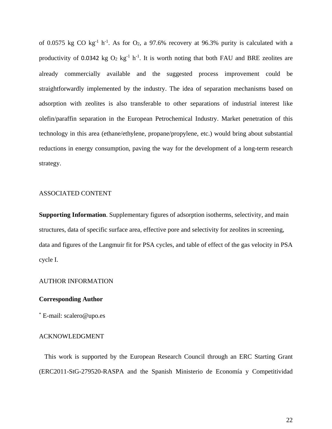of 0.0575 kg CO  $kg^{-1}$  h<sup>-1</sup>. As for O<sub>2</sub>, a 97.6% recovery at 96.3% purity is calculated with a productivity of 0.0342 kg  $O_2$  kg<sup>-1</sup> h<sup>-1</sup>. It is worth noting that both FAU and BRE zeolites are already commercially available and the suggested process improvement could be straightforwardly implemented by the industry. The idea of separation mechanisms based on adsorption with zeolites is also transferable to other separations of industrial interest like olefin/paraffin separation in the European Petrochemical Industry. Market penetration of this technology in this area (ethane/ethylene, propane/propylene, etc.) would bring about substantial reductions in energy consumption, paving the way for the development of a long-term research strategy.

## ASSOCIATED CONTENT

**Supporting Information.** Supplementary figures of adsorption isotherms, selectivity, and main structures, data of specific surface area, effective pore and selectivity for zeolites in screening, data and figures of the Langmuir fit for PSA cycles, and table of effect of the gas velocity in PSA cycle I.

## AUTHOR INFORMATION

### **Corresponding Author**

\* E-mail: scalero@upo.es

#### ACKNOWLEDGMENT

This work is supported by the European Research Council through an ERC Starting Grant (ERC2011-StG-279520-RASPA and the Spanish Ministerio de Economía y Competitividad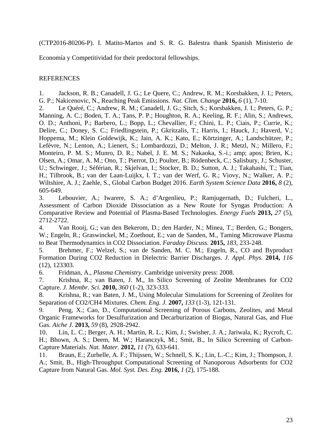(CTP2016-80206-P). I. Matito-Martos and S. R. G. Balestra thank Spanish Ministerio de

Economía y Competitividad for their predoctoral fellowships.

# REFERENCES

<span id="page-22-0"></span>1. Jackson, R. B.; Canadell, J. G.; Le Quere, C.; Andrew, R. M.; Korsbakken, J. I.; Peters, G. P.; Nakicenovic, N., Reaching Peak Emissions. *Nat. Clim. Change* **2016,** *6* (1), 7-10.

<span id="page-22-1"></span>2. Le Quéré, C.; Andrew, R. M.; Canadell, J. G.; Sitch, S.; Korsbakken, J. I.; Peters, G. P.; Manning, A. C.; Boden, T. A.; Tans, P. P.; Houghton, R. A.; Keeling, R. F.; Alin, S.; Andrews, O. D.; Anthoni, P.; Barbero, L.; Bopp, L.; Chevallier, F.; Chini, L. P.; Ciais, P.; Currie, K.; Delire, C.; Doney, S. C.; Friedlingstein, P.; Gkritzalis, T.; Harris, I.; Hauck, J.; Haverd, V.; Hoppema, M.; Klein Goldewijk, K.; Jain, A. K.; Kato, E.; Körtzinger, A.; Landschützer, P.; Lefèvre, N.; Lenton, A.; Lienert, S.; Lombardozzi, D.; Melton, J. R.; Metzl, N.; Millero, F.; Monteiro, P. M. S.; Munro, D. R.; Nabel, J. E. M. S.; Nakaoka, S.-i.; amp; apos; Brien, K.; Olsen, A.; Omar, A. M.; Ono, T.; Pierrot, D.; Poulter, B.; Rödenbeck, C.; Salisbury, J.; Schuster, U.; Schwinger, J.; Séférian, R.; Skjelvan, I.; Stocker, B. D.; Sutton, A. J.; Takahashi, T.; Tian, H.; Tilbrook, B.; van der Laan-Luijkx, I. T.; van der Werf, G. R.; Viovy, N.; Walker, A. P.; Wiltshire, A. J.; Zaehle, S., Global Carbon Budget 2016. *Earth System Science Data* **2016,** *8* (2), 605-649.

<span id="page-22-2"></span>3. Lebouvier, A.; Iwarere, S. A.; d'Argenlieu, P.; Ramjugernath, D.; Fulcheri, L., Assessment of Carbon Dioxide Dissociation as a New Route for Syngas Production: A Comparative Review and Potential of Plasma-Based Technologies. *Energy Fuels* **2013,** *27* (5), 2712-2722.

<span id="page-22-3"></span>4. Van Rooij, G.; van den Bekerom, D.; den Harder, N.; Minea, T.; Berden, G.; Bongers, W.; Engeln, R.; Graswinckel, M.; Zoethout, E.; van de Sanden, M., Taming Microwave Plasma to Beat Thermodynamics in CO2 Dissociation. *Faraday Discuss.* **2015,** *183*, 233-248.

5. Brehmer, F.; Welzel, S.; van de Sanden, M. C. M.; Engeln, R., CO and Byproduct Formation During CO2 Reduction in Dielectric Barrier Discharges. *J. Appl. Phys.* **2014,** *116* (12), 123303.

<span id="page-22-7"></span>6. Fridman, A., *Plasma Chemistry*. Cambridge university press: 2008.

<span id="page-22-4"></span>7. Krishna, R.; van Baten, J. M., In Silico Screening of Zeolite Membranes for CO2 Capture. *J. Membr. Sci.* **2010,** *360* (1-2), 323-333.

8. Krishna, R.; van Baten, J. M., Using Molecular Simulations for Screening of Zeolites for Separation of CO2/CH4 Mixtures. *Chem. Eng. J.* **2007,** *133* (1-3), 121-131.

9. Peng, X.; Cao, D., Computational Screening of Porous Carbons, Zeolites, and Metal Organic Frameworks for Desulfurization and Decarburization of Biogas, Natural Gas, and Flue Gas. *Aiche J.* **2013,** *59* (8), 2928-2942.

<span id="page-22-5"></span>10. Lin, L. C.; Berger, A. H.; Martin, R. L.; Kim, J.; Swisher, J. A.; Jariwala, K.; Rycroft, C. H.; Bhown, A. S.; Deem, M. W.; Haranczyk, M.; Smit, B., In Silico Screening of Carbon-Capture Materials. *Nat. Mater.* **2012,** *11* (7), 633-641.

<span id="page-22-6"></span>11. Braun, E.; Zurhelle, A. F.; Thijssen, W.; Schnell, S. K.; Lin, L.-C.; Kim, J.; Thompson, J. A.; Smit, B., High-Throughput Computational Screening of Nanoporous Adsorbents for CO2 Capture from Natural Gas. *Mol. Syst. Des. Eng.* **2016,** *1* (2), 175-188.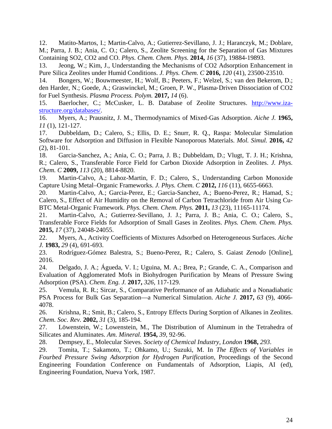<span id="page-23-0"></span>12. Matito-Martos, I.; Martin-Calvo, A.; Gutierrez-Sevillano, J. J.; Haranczyk, M.; Doblare, M.; Parra, J. B.; Ania, C. O.; Calero, S., Zeolite Screening for the Separation of Gas Mixtures Containing SO2, CO2 and CO. *Phys. Chem. Chem. Phys.* **2014,** *16* (37), 19884-19893.

<span id="page-23-1"></span>13. Jeong, W.; Kim, J., Understanding the Mechanisms of CO2 Adsorption Enhancement in Pure Silica Zeolites under Humid Conditions. *J. Phys. Chem. C* **2016,** *120* (41), 23500-23510.

<span id="page-23-2"></span>14. Bongers, W.; Bouwmeester, H.; Wolf, B.; Peeters, F.; Welzel, S.; van den Bekerom, D.; den Harder, N.; Goede, A.; Graswinckel, M.; Groen, P. W., Plasma‐Driven Dissociation of CO2 for Fuel Synthesis. *Plasma Process. Polym.* **2017,** *14* (6).

<span id="page-23-3"></span>15. Baerlocher, C.; McCusker, L. B. Database of Zeolite Structures. [http://www.iza](http://www.iza-structure.org/databases/)[structure.org/databases/.](http://www.iza-structure.org/databases/)

<span id="page-23-4"></span>16. Myers, A.; Prausnitz, J. M., Thermodynamics of Mixed‐Gas Adsorption. *Aiche J.* **1965,** *11* (1), 121-127.

<span id="page-23-5"></span>17. Dubbeldam, D.; Calero, S.; Ellis, D. E.; Snurr, R. Q., Raspa: Molecular Simulation Software for Adsorption and Diffusion in Flexible Nanoporous Materials. *Mol. Simul.* **2016,** *42* (2), 81-101.

<span id="page-23-6"></span>18. Garcia-Sanchez, A.; Ania, C. O.; Parra, J. B.; Dubbeldam, D.; Vlugt, T. J. H.; Krishna, R.; Calero, S., Transferable Force Field for Carbon Dioxide Adsorption in Zeolites. *J. Phys. Chem. C* **2009,** *113* (20), 8814-8820.

<span id="page-23-7"></span>19. Martin-Calvo, A.; Lahoz-Martin, F. D.; Calero, S., Understanding Carbon Monoxide Capture Using Metal–Organic Frameworks. *J. Phys. Chem. C* **2012,** *116* (11), 6655-6663.

<span id="page-23-8"></span>20. Martin-Calvo, A.; Garcia-Perez, E.; Garcia-Sanchez, A.; Bueno-Perez, R.; Hamad, S.; Calero, S., Effect of Air Humidity on the Removal of Carbon Tetrachloride from Air Using Cu-BTC Metal-Organic Framework. *Phys. Chem. Chem. Phys.* **2011,** *13* (23), 11165-11174.

<span id="page-23-9"></span>21. Martin-Calvo, A.; Gutierrez-Sevillano, J. J.; Parra, J. B.; Ania, C. O.; Calero, S., Transferable Force Fields for Adsorption of Small Gases in Zeolites. *Phys. Chem. Chem. Phys.*  **2015,** *17* (37), 24048-24055.

<span id="page-23-10"></span>22. Myers, A., Activity Coefficients of Mixtures Adsorbed on Heterogeneous Surfaces. *Aiche J.* **1983,** *29* (4), 691-693.

<span id="page-23-11"></span>23. Rodríguez-Gómez Balestra, S.; Bueno-Perez, R.; Calero, S. Gaiast *Zenodo* [Online], 2016.

<span id="page-23-12"></span>24. Delgado, J. A.; Águeda, V. I.; Uguina, M. A.; Brea, P.; Grande, C. A., Comparison and Evaluation of Agglomerated Mofs in Biohydrogen Purification by Means of Pressure Swing Adsorption (PSA). *Chem. Eng. J.* **2017,** *326*, 117-129.

<span id="page-23-13"></span>25. Vemula, R. R.; Sircar, S., Comparative Performance of an Adiabatic and a Nonadiabatic PSA Process for Bulk Gas Separation—a Numerical Simulation. *Aiche J.* **2017,** *63* (9), 4066- 4078.

<span id="page-23-14"></span>26. Krishna, R.; Smit, B.; Calero, S., Entropy Effects During Sorption of Alkanes in Zeolites. *Chem. Soc. Rev.* **2002,** *31* (3), 185-194.

<span id="page-23-15"></span>27. Löwenstein, W.; Lowenstein, M., The Distribution of Aluminum in the Tetrahedra of Silicates and Aluminates. *Am. Mineral.* **1954,** *39*, 92-96.

<span id="page-23-16"></span>28. Dempsey, E., Molecular Sieves. *Society of Chemical Industry, London* **1968,** *293*.

<span id="page-23-17"></span>29. Tomita, T.; Sakamoto, T.; Ohkamo, U.; Suzuki, M. In *The Effects of Variables in Fourbed Pressure Swing Adsorption for Hydrogen Purification*, Proceedings of the Second Engineering Foundation Conference on Fundamentals of Adsorption, Liapis, AI (ed), Engineering Foundation, Nueva York, 1987.